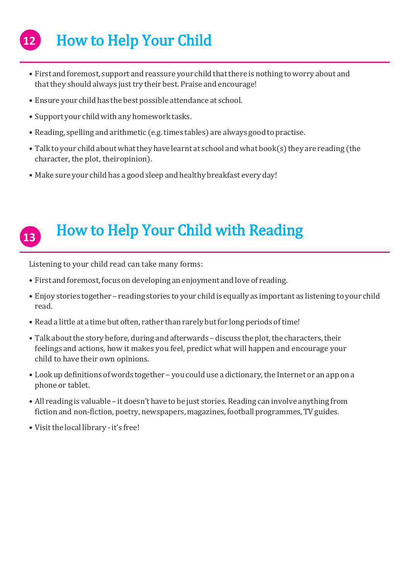## How to Help Your Child **12**

- First and foremost, support and reassure your child that there is nothing to worry about and that they should always just try their best. Praise and encourage!
- Ensure your child has the best possible attendance at school.
- Support your child with any homework tasks.
- Reading, spelling and arithmetic (e.g.times tables) are always goodto practise.
- Talk to your child about what they have learnt at school and what book(s) they are reading (the character, the plot, theiropinion).
- Make sure your child has a goodsleep and healthy breakfast every day!

## How to Help Your Child with Reading **13**

Listening to your child read can take many forms:

- First and foremost, focus on developing an enjoyment and love of reading.
- Enjoy stories together reading stories to your child is equally as important as listening to your child read.
- Read a little at a time but often, rather than rarely but for long periods of time!
- Talk about the story before, during and afterwards discuss the plot, the characters, their feelings and actions, how it makes you feel, predict what will happen and encourage your child to have their own opinions.
- Look up definitions of words together you could use a dictionary, the Internet or an app on a phone or tablet.
- All reading is valuable it doesn't have to be just stories. Reading can involve anything from fiction and non-fiction, poetry, newspapers, magazines, football programmes, TV guides.
- Visit the local library it's free!